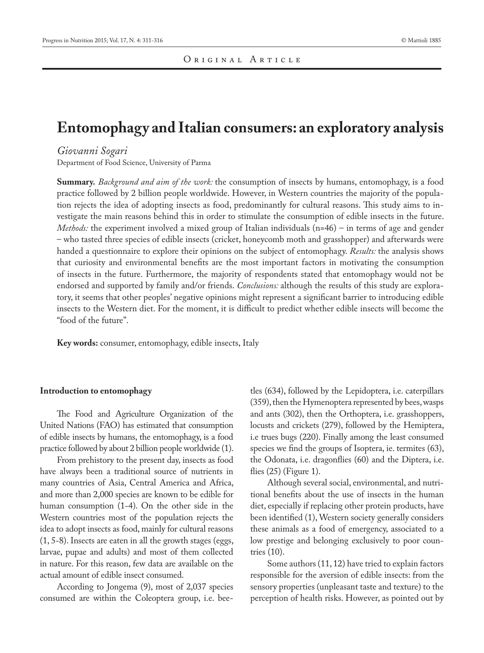## **Entomophagy and Italian consumers: an exploratory analysis**

## *Giovanni Sogari*

Department of Food Science, University of Parma

**Summary.** *Background and aim of the work:* the consumption of insects by humans, entomophagy, is a food practice followed by 2 billion people worldwide. However, in Western countries the majority of the population rejects the idea of adopting insects as food, predominantly for cultural reasons. This study aims to investigate the main reasons behind this in order to stimulate the consumption of edible insects in the future. *Methods:* the experiment involved a mixed group of Italian individuals (n=46) – in terms of age and gender – who tasted three species of edible insects (cricket, honeycomb moth and grasshopper) and afterwards were handed a questionnaire to explore their opinions on the subject of entomophagy. *Results:* the analysis shows that curiosity and environmental benefits are the most important factors in motivating the consumption of insects in the future. Furthermore, the majority of respondents stated that entomophagy would not be endorsed and supported by family and/or friends. *Conclusions:* although the results of this study are exploratory, it seems that other peoples' negative opinions might represent a significant barrier to introducing edible insects to the Western diet. For the moment, it is difficult to predict whether edible insects will become the "food of the future".

**Key words:** consumer, entomophagy, edible insects, Italy

## **Introduction to entomophagy**

The Food and Agriculture Organization of the United Nations (FAO) has estimated that consumption of edible insects by humans, the entomophagy, is a food practice followed by about 2 billion people worldwide (1).

From prehistory to the present day, insects as food have always been a traditional source of nutrients in many countries of Asia, Central America and Africa, and more than 2,000 species are known to be edible for human consumption (1-4). On the other side in the Western countries most of the population rejects the idea to adopt insects as food, mainly for cultural reasons (1, 5-8). Insects are eaten in all the growth stages (eggs, larvae, pupae and adults) and most of them collected in nature. For this reason, few data are available on the actual amount of edible insect consumed.

According to Jongema (9), most of 2,037 species consumed are within the Coleoptera group, i.e. beetles (634), followed by the Lepidoptera, i.e. caterpillars (359), then the Hymenoptera represented by bees, wasps and ants (302), then the Orthoptera, i.e. grasshoppers, locusts and crickets (279), followed by the Hemiptera, i.e trues bugs (220). Finally among the least consumed species we find the groups of Isoptera, ie. termites (63), the Odonata, i.e. dragonflies (60) and the Diptera, i.e. flies (25) (Figure 1).

Although several social, environmental, and nutritional benefits about the use of insects in the human diet, especially if replacing other protein products, have been identified (1), Western society generally considers these animals as a food of emergency, associated to a low prestige and belonging exclusively to poor countries (10).

Some authors (11, 12) have tried to explain factors responsible for the aversion of edible insects: from the sensory properties (unpleasant taste and texture) to the perception of health risks. However, as pointed out by